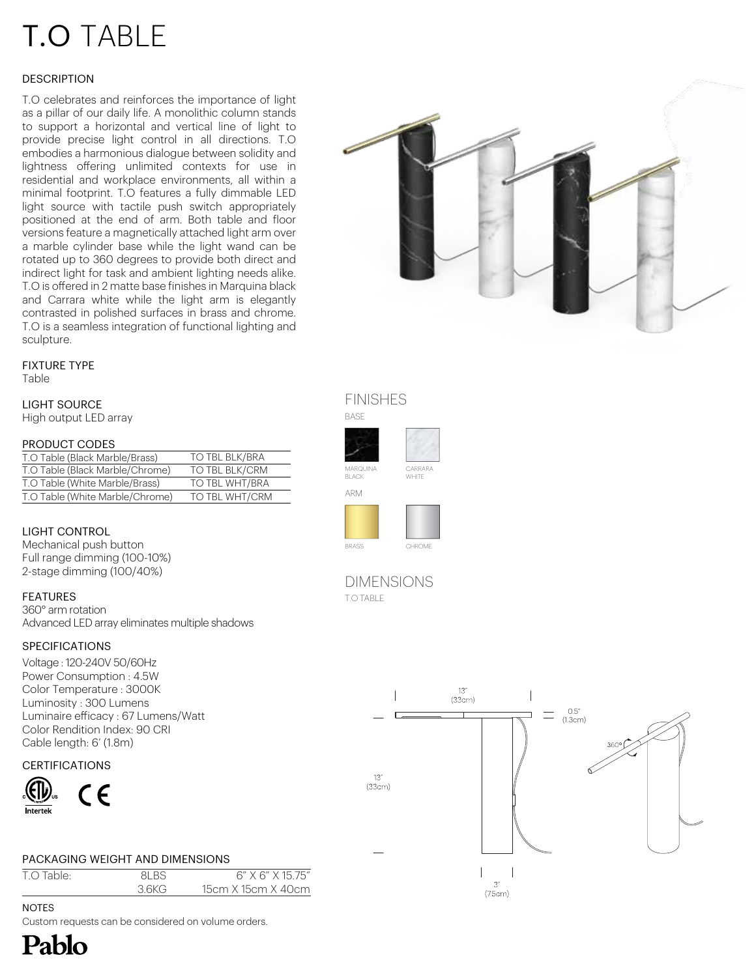# T.O TABLE

# **DESCRIPTION**

T.O celebrates and reinforces the importance of light as a pillar of our daily life. A monolithic column stands to support a horizontal and vertical line of light to provide precise light control in all directions. T.O embodies a harmonious dialogue between solidity and lightness offering unlimited contexts for use in residential and workplace environments, all within a minimal footprint. T.O features a fully dimmable LED light source with tactile push switch appropriately positioned at the end of arm. Both table and floor versions feature a magnetically attached light arm over a marble cylinder base while the light wand can be rotated up to 360 degrees to provide both direct and indirect light for task and ambient lighting needs alike. T.O is offered in 2 matte base finishes in Marquina black and Carrara white while the light arm is elegantly contrasted in polished surfaces in brass and chrome. T.O is a seamless integration of functional lighting and sculpture.

# FIXTURE TYPE

Table

LIGHT SOURCE High output LED array

#### PRODUCT CODES

| T.O Table (Black Marble/Brass)  | TO TBL BLK/BRA |
|---------------------------------|----------------|
| T.O Table (Black Marble/Chrome) | TO TBL BLK/CRM |
| T.O Table (White Marble/Brass)  | TO TBL WHT/BRA |
| T.O Table (White Marble/Chrome) | TO TBL WHT/CRM |

## LIGHT CONTROL

Mechanical push button Full range dimming (100-10%) 2-stage dimming (100/40%)

#### FEATURES

360° arm rotation Advanced LED array eliminates multiple shadows

#### SPECIFICATIONS

Voltage : 120-240V 50/60Hz Power Consumption : 4.5W Color Temperature : 3000K Luminosity : 300 Lumens Luminaire efficacy : 67 Lumens/Watt Color Rendition Index: 90 CRI Cable length: 6' (1.8m)

#### **CERTIFICATIONS**



#### PACKAGING WEIGHT AND DIMENSIONS

| T.O Table: | 81 B.S | $6''$ X $6''$ X 15 75" |
|------------|--------|------------------------|
|            | 36KG   | 15cm X 15cm X 40cm     |

**NOTES** 

Pablo

Custom requests can be considered on volume orders.



# FINISHES





T.O TABLE DIMENSIONS